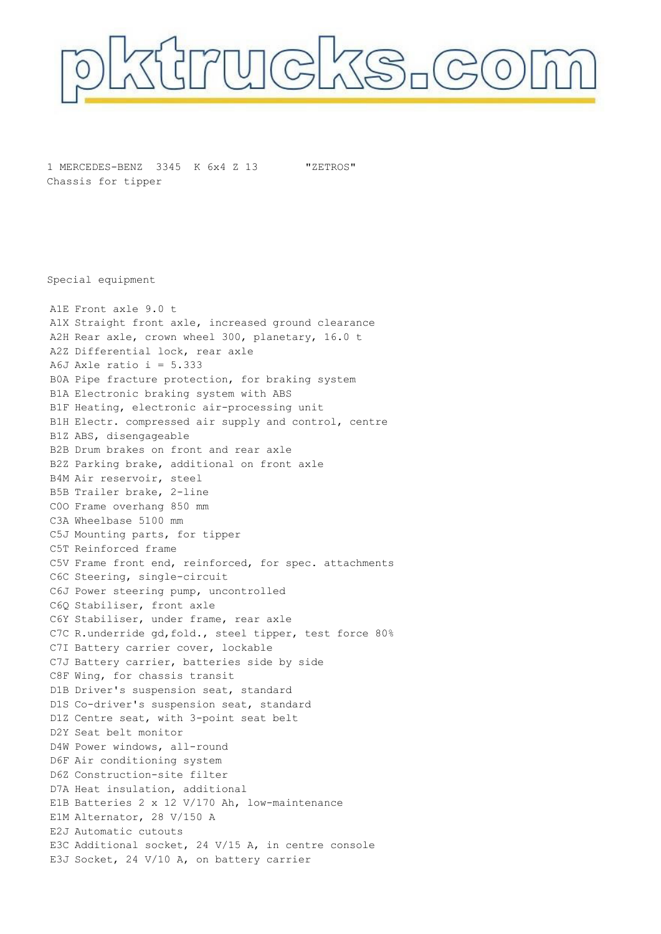

1 MERCEDES-BENZ 3345 K 6x4 Z 13 Chassis for tipper

"ZETROS"

Special equipment

A1E Front axle 9.0 t A1X Straight front axle, increased ground clearance A2H Rear axle, crown wheel 300, planetary, 16.0 t A2Z Differential lock, rear axle A6J Axle ratio  $i = 5.333$ B0A Pipe fracture protection, for braking system B1A Electronic braking system with ABS B1F Heating, electronic air-processing unit B1H Electr. compressed air supply and control, centre B1Z ABS, disengageable B2B Drum brakes on front and rear axle B2Z Parking brake, additional on front axle B4M Air reservoir, steel B5B Trailer brake, 2-line C0O Frame overhang 850 mm C3A Wheelbase 5100 mm C5J Mounting parts, for tipper C5T Reinforced frame C5V Frame front end, reinforced, for spec. attachments C6C Steering, single-circuit C6J Power steering pump, uncontrolled C6Q Stabiliser, front axle C6Y Stabiliser, under frame, rear axle C7C R.underride gd, fold., steel tipper, test force 80% C7I Battery carrier cover, lockable C7J Battery carrier, batteries side by side C8F Wing, for chassis transit D1B Driver's suspension seat, standard D1S Co-driver's suspension seat, standard D1Z Centre seat, with 3-point seat belt D2Y Seat belt monitor D4W Power windows, all-round D6F Air conditioning system D6Z Construction-site filter D7A Heat insulation, additional E1B Batteries 2 x 12 V/170 Ah, low-maintenance E1M Alternator, 28 V/150 A E2J Automatic cutouts E3C Additional socket, 24 V/15 A, in centre console E3J Socket, 24 V/10 A, on battery carrier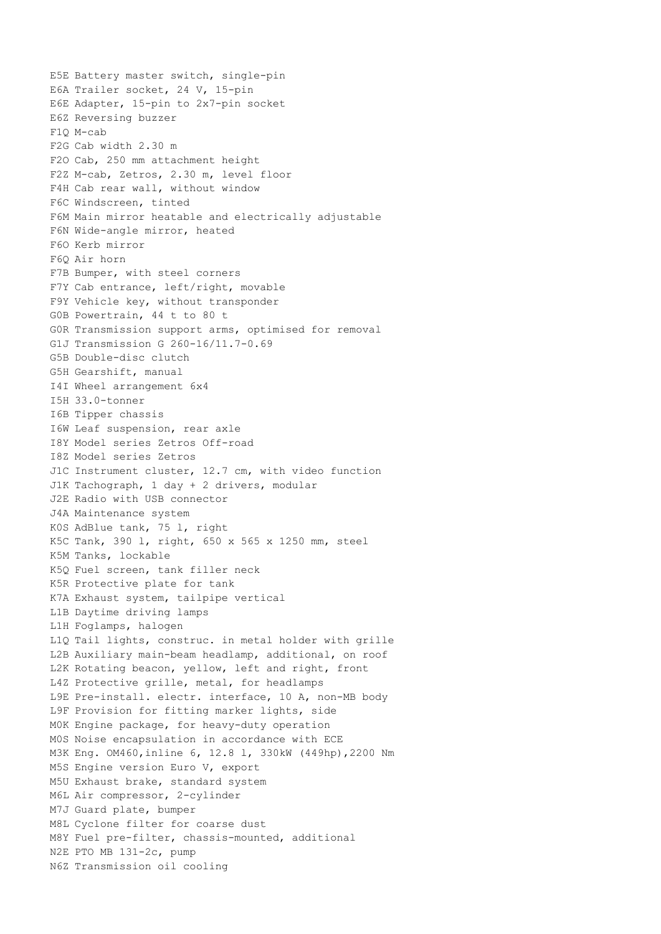E5E Battery master switch, single-pin E6A Trailer socket, 24 V, 15-pin E6E Adapter, 15-pin to 2x7-pin socket E6Z Reversing buzzer F1Q M-cab F2G Cab width 2.30 m F2O Cab, 250 mm attachment height F2Z M-cab, Zetros, 2.30 m, level floor F4H Cab rear wall, without window F6C Windscreen, tinted F6M Main mirror heatable and electrically adjustable F6N Wide-angle mirror, heated F6O Kerb mirror F6Q Air horn F7B Bumper, with steel corners F7Y Cab entrance, left/right, movable F9Y Vehicle key, without transponder G0B Powertrain, 44 t to 80 t G0R Transmission support arms, optimised for removal G1J Transmission G 260-16/11.7-0.69 G5B Double-disc clutch G5H Gearshift, manual I4I Wheel arrangement 6x4 I5H 33.0-tonner I6B Tipper chassis I6W Leaf suspension, rear axle I8Y Model series Zetros Off-road I8Z Model series Zetros J1C Instrument cluster, 12.7 cm, with video function J1K Tachograph, 1 day + 2 drivers, modular J2E Radio with USB connector J4A Maintenance system K0S AdBlue tank, 75 l, right K5C Tank, 390 l, right, 650 x 565 x 1250 mm, steel K5M Tanks, lockable K5Q Fuel screen, tank filler neck K5R Protective plate for tank K7A Exhaust system, tailpipe vertical L1B Daytime driving lamps L1H Foglamps, halogen L1Q Tail lights, construc. in metal holder with grille L2B Auxiliary main-beam headlamp, additional, on roof L2K Rotating beacon, yellow, left and right, front L4Z Protective grille, metal, for headlamps L9E Pre-install. electr. interface, 10 A, non-MB body L9F Provision for fitting marker lights, side M0K Engine package, for heavy-duty operation M0S Noise encapsulation in accordance with ECE M3K Eng. OM460,inline 6, 12.8 l, 330kW (449hp),2200 Nm M5S Engine version Euro V, export M5U Exhaust brake, standard system M6L Air compressor, 2-cylinder M7J Guard plate, bumper M8L Cyclone filter for coarse dust M8Y Fuel pre-filter, chassis-mounted, additional N2E PTO MB 131-2c, pump N6Z Transmission oil cooling